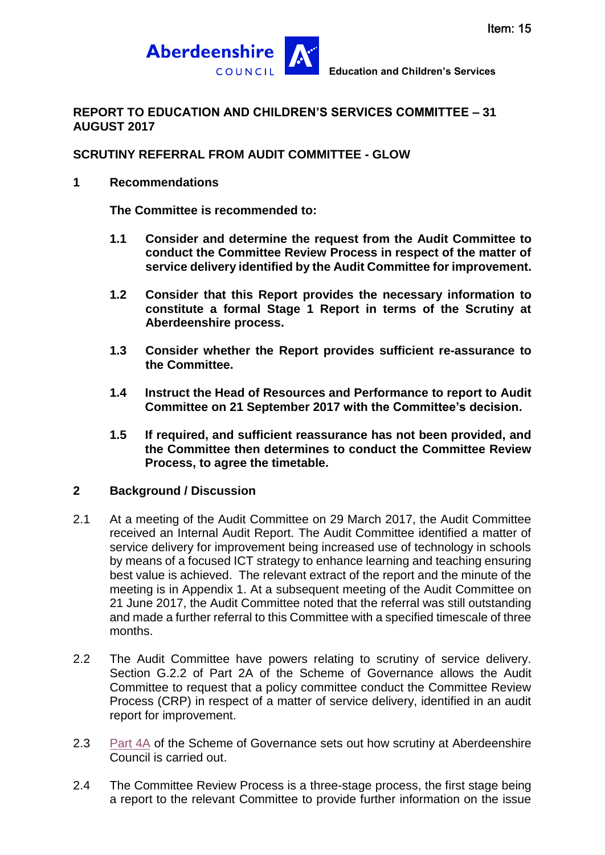

### **REPORT TO EDUCATION AND CHILDREN'S SERVICES COMMITTEE – 31 AUGUST 2017**

### **SCRUTINY REFERRAL FROM AUDIT COMMITTEE - GLOW**

### **1 Recommendations**

**The Committee is recommended to:**

- **1.1 Consider and determine the request from the Audit Committee to conduct the Committee Review Process in respect of the matter of service delivery identified by the Audit Committee for improvement.**
- **1.2 Consider that this Report provides the necessary information to constitute a formal Stage 1 Report in terms of the Scrutiny at Aberdeenshire process.**
- **1.3 Consider whether the Report provides sufficient re-assurance to the Committee.**
- **1.4 Instruct the Head of Resources and Performance to report to Audit Committee on 21 September 2017 with the Committee's decision.**
- **1.5 If required, and sufficient reassurance has not been provided, and the Committee then determines to conduct the Committee Review Process, to agree the timetable.**

### **2 Background / Discussion**

- 2.1 At a meeting of the Audit Committee on 29 March 2017, the Audit Committee received an Internal Audit Report. The Audit Committee identified a matter of service delivery for improvement being increased use of technology in schools by means of a focused ICT strategy to enhance learning and teaching ensuring best value is achieved. The relevant extract of the report and the minute of the meeting is in Appendix 1. At a subsequent meeting of the Audit Committee on 21 June 2017, the Audit Committee noted that the referral was still outstanding and made a further referral to this Committee with a specified timescale of three months.
- 2.2 The Audit Committee have powers relating to scrutiny of service delivery. Section G.2.2 of Part 2A of the Scheme of Governance allows the Audit Committee to request that a policy committee conduct the Committee Review Process (CRP) in respect of a matter of service delivery, identified in an audit report for improvement.
- 2.3 [Part 4A](http://www.aberdeenshire.gov.uk/media/19661/part-4a-scrutiny-at-aberdeenshire-new-image.pdf) of the Scheme of Governance sets out how scrutiny at Aberdeenshire Council is carried out.
- 2.4 The Committee Review Process is a three-stage process, the first stage being a report to the relevant Committee to provide further information on the issue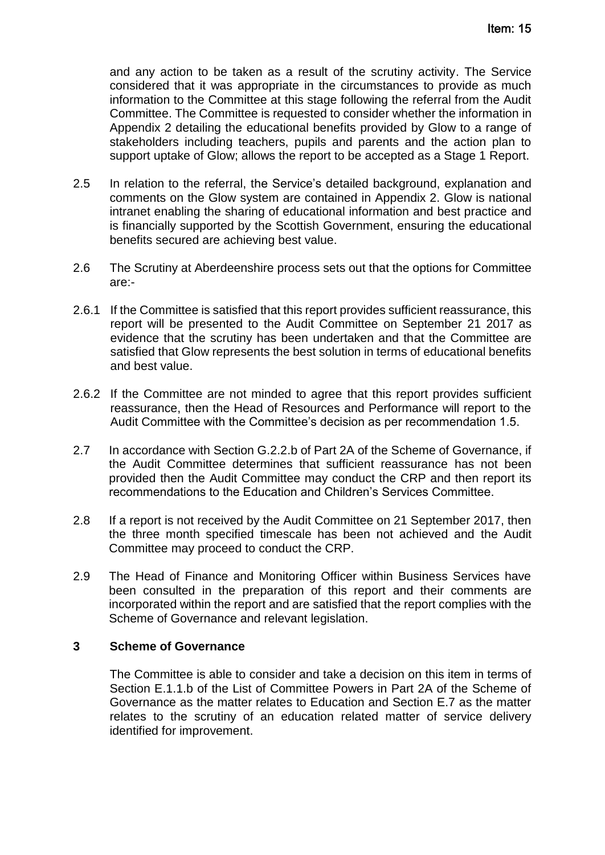and any action to be taken as a result of the scrutiny activity. The Service considered that it was appropriate in the circumstances to provide as much information to the Committee at this stage following the referral from the Audit Committee. The Committee is requested to consider whether the information in Appendix 2 detailing the educational benefits provided by Glow to a range of stakeholders including teachers, pupils and parents and the action plan to support uptake of Glow; allows the report to be accepted as a Stage 1 Report.

- 2.5 In relation to the referral, the Service's detailed background, explanation and comments on the Glow system are contained in Appendix 2. Glow is national intranet enabling the sharing of educational information and best practice and is financially supported by the Scottish Government, ensuring the educational benefits secured are achieving best value.
- 2.6 The Scrutiny at Aberdeenshire process sets out that the options for Committee are:-
- 2.6.1 If the Committee is satisfied that this report provides sufficient reassurance, this report will be presented to the Audit Committee on September 21 2017 as evidence that the scrutiny has been undertaken and that the Committee are satisfied that Glow represents the best solution in terms of educational benefits and best value.
- 2.6.2 If the Committee are not minded to agree that this report provides sufficient reassurance, then the Head of Resources and Performance will report to the Audit Committee with the Committee's decision as per recommendation 1.5.
- 2.7 In accordance with Section G.2.2.b of Part 2A of the Scheme of Governance, if the Audit Committee determines that sufficient reassurance has not been provided then the Audit Committee may conduct the CRP and then report its recommendations to the Education and Children's Services Committee.
- 2.8 If a report is not received by the Audit Committee on 21 September 2017, then the three month specified timescale has been not achieved and the Audit Committee may proceed to conduct the CRP.
- 2.9 The Head of Finance and Monitoring Officer within Business Services have been consulted in the preparation of this report and their comments are incorporated within the report and are satisfied that the report complies with the Scheme of Governance and relevant legislation.

### **3 Scheme of Governance**

The Committee is able to consider and take a decision on this item in terms of Section E.1.1.b of the List of Committee Powers in Part 2A of the Scheme of Governance as the matter relates to Education and Section E.7 as the matter relates to the scrutiny of an education related matter of service delivery identified for improvement.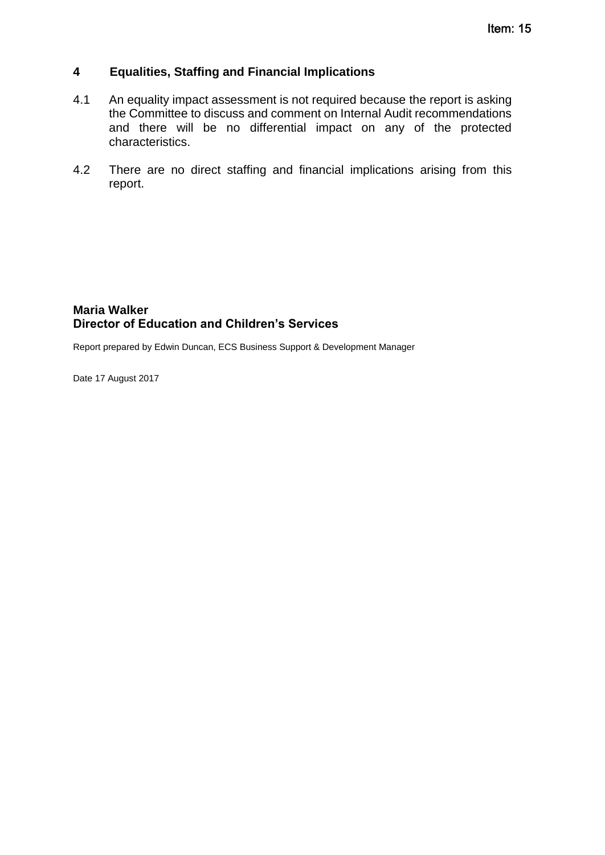### **4 Equalities, Staffing and Financial Implications**

- 4.1 An equality impact assessment is not required because the report is asking the Committee to discuss and comment on Internal Audit recommendations and there will be no differential impact on any of the protected characteristics.
- 4.2 There are no direct staffing and financial implications arising from this report.

### **Maria Walker Director of Education and Children's Services**

Report prepared by Edwin Duncan, ECS Business Support & Development Manager

Date 17 August 2017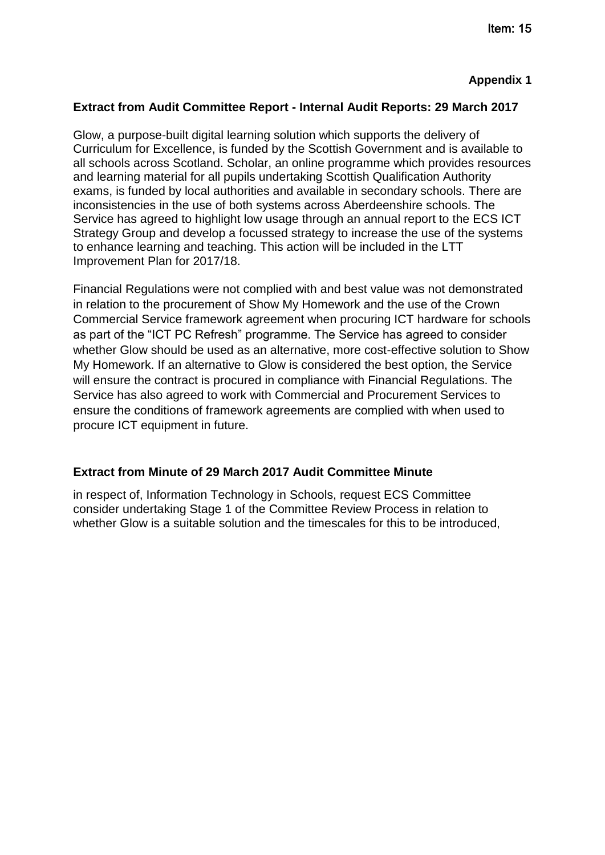### **Extract from Audit Committee Report - Internal Audit Reports: 29 March 2017**

Glow, a purpose-built digital learning solution which supports the delivery of Curriculum for Excellence, is funded by the Scottish Government and is available to all schools across Scotland. Scholar, an online programme which provides resources and learning material for all pupils undertaking Scottish Qualification Authority exams, is funded by local authorities and available in secondary schools. There are inconsistencies in the use of both systems across Aberdeenshire schools. The Service has agreed to highlight low usage through an annual report to the ECS ICT Strategy Group and develop a focussed strategy to increase the use of the systems to enhance learning and teaching. This action will be included in the LTT Improvement Plan for 2017/18.

Financial Regulations were not complied with and best value was not demonstrated in relation to the procurement of Show My Homework and the use of the Crown Commercial Service framework agreement when procuring ICT hardware for schools as part of the "ICT PC Refresh" programme. The Service has agreed to consider whether Glow should be used as an alternative, more cost-effective solution to Show My Homework. If an alternative to Glow is considered the best option, the Service will ensure the contract is procured in compliance with Financial Regulations. The Service has also agreed to work with Commercial and Procurement Services to ensure the conditions of framework agreements are complied with when used to procure ICT equipment in future.

### **Extract from Minute of 29 March 2017 Audit Committee Minute**

in respect of, Information Technology in Schools, request ECS Committee consider undertaking Stage 1 of the Committee Review Process in relation to whether Glow is a suitable solution and the timescales for this to be introduced,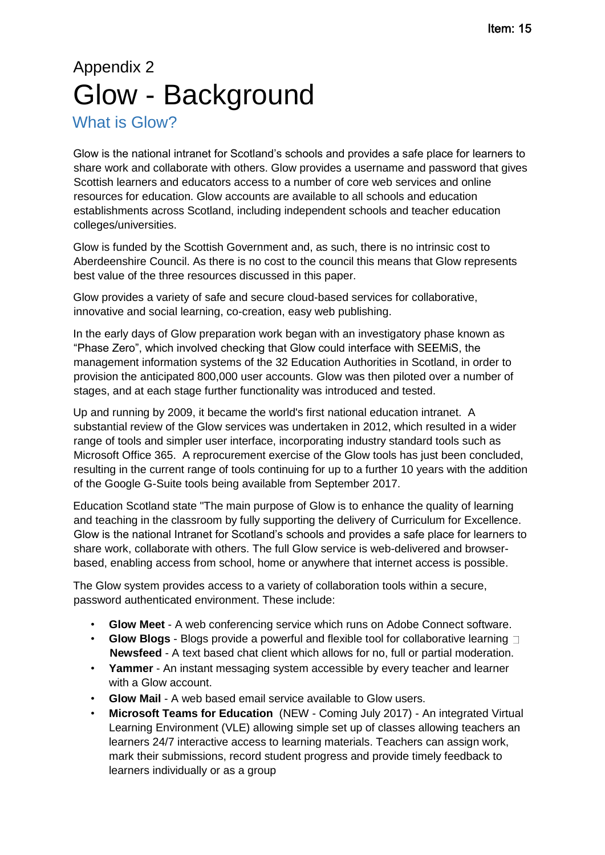# Appendix 2 Glow - Background

# What is Glow?

Glow is the national intranet for Scotland's schools and provides a safe place for learners to share work and collaborate with others. Glow provides a username and password that gives Scottish learners and educators access to a number of core web services and online resources for education. Glow accounts are available to all schools and education establishments across Scotland, including independent schools and teacher education colleges/universities.

Glow is funded by the Scottish Government and, as such, there is no intrinsic cost to Aberdeenshire Council. As there is no cost to the council this means that Glow represents best value of the three resources discussed in this paper.

Glow provides a variety of safe and secure cloud-based services for collaborative, innovative and social learning, co-creation, easy web publishing.

In the early days of Glow preparation work began with an investigatory phase known as "Phase Zero", which involved checking that Glow could interface with SEEMiS, the management information systems of the 32 Education Authorities in Scotland, in order to provision the anticipated 800,000 user accounts. Glow was then piloted over a number of stages, and at each stage further functionality was introduced and tested.

Up and running by 2009, it became the world's first national education intranet. A substantial review of the Glow services was undertaken in 2012, which resulted in a wider range of tools and simpler user interface, incorporating industry standard tools such as Microsoft Office 365. A reprocurement exercise of the Glow tools has just been concluded, resulting in the current range of tools continuing for up to a further 10 years with the addition of the Google G-Suite tools being available from September 2017.

Education Scotland state "The main purpose of Glow is to enhance the quality of learning and teaching in the classroom by fully supporting the delivery of Curriculum for Excellence. Glow is the national Intranet for Scotland's schools and provides a safe place for learners to share work, collaborate with others. The full Glow service is web-delivered and browserbased, enabling access from school, home or anywhere that internet access is possible.

The Glow system provides access to a variety of collaboration tools within a secure, password authenticated environment. These include:

- **Glow Meet** A web conferencing service which runs on Adobe Connect software.
- **Glow Blogs** Blogs provide a powerful and flexible tool for collaborative learning  $\top$ **Newsfeed** - A text based chat client which allows for no, full or partial moderation.
- **Yammer** An instant messaging system accessible by every teacher and learner with a Glow account.
- **Glow Mail** A web based email service available to Glow users.
- **Microsoft Teams for Education** (NEW Coming July 2017) An integrated Virtual Learning Environment (VLE) allowing simple set up of classes allowing teachers an learners 24/7 interactive access to learning materials. Teachers can assign work, mark their submissions, record student progress and provide timely feedback to learners individually or as a group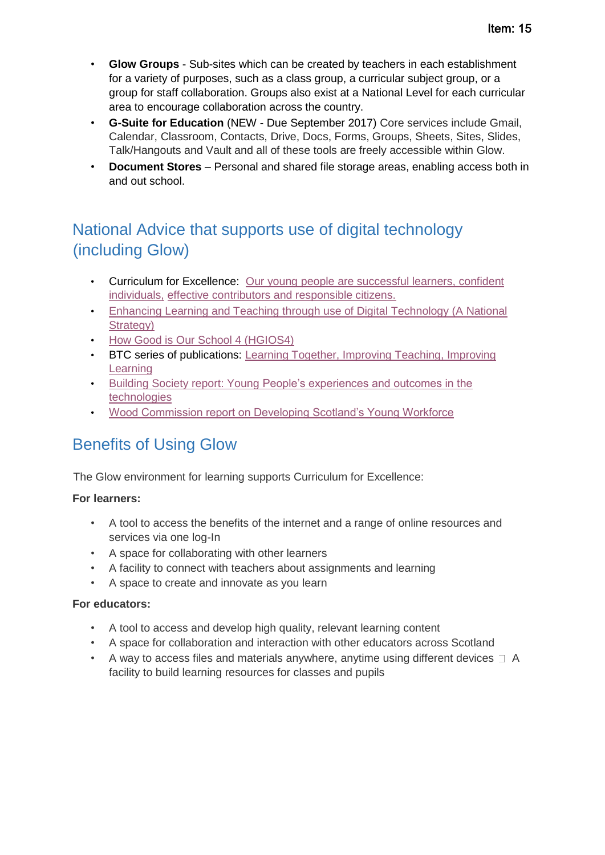- **Glow Groups** Sub-sites which can be created by teachers in each establishment for a variety of purposes, such as a class group, a curricular subject group, or a group for staff collaboration. Groups also exist at a National Level for each curricular area to encourage collaboration across the country.
- **G-Suite for Education** (NEW Due September 2017) Core services include Gmail, Calendar, Classroom, Contacts, Drive, Docs, Forms, Groups, Sheets, Sites, Slides, Talk/Hangouts and Vault and all of these tools are freely accessible within Glow.
- **Document Stores** Personal and shared file storage areas, enabling access both in and out school.

# National Advice that supports use of digital technology (including Glow)

- Curriculum for Excellence: [Our young people](http://www.gov.scot/About/scotPerforms/outcomes/youngpeople) [are successful learners, confident](http://www.gov.scot/About/scotPerforms/outcomes/youngpeople)  [individuals,](http://www.gov.scot/About/scotPerforms/outcomes/youngpeople) [effective contributors and responsible citizens.](http://www.gov.scot/About/scotPerforms/outcomes/youngpeople)
- [Enhancing Learning and Teaching through use of Digital](http://www.gov.scot/Resource/0050/00505855.pdf) [Technology \(A](http://www.gov.scot/Resource/0050/00505855.pdf) [National](http://www.gov.scot/Resource/0050/00505855.pdf)  [Strategy\)](http://www.gov.scot/Resource/0050/00505855.pdf)
- [How Good is Our School 4 \(HGIOS4\)](https://education.gov.scot/improvement/Documents/Frameworks_SelfEvaluation/FRWK2_NIHeditHGIOS/FRWK2_HGIOS4.pdf)
- BTC series of publications: [Learning Together,](https://education.gov.scot/Documents/LearningTogetherImprovingTeachingImprovingLearning.pdf) [Improving Teaching, Improving](https://education.gov.scot/Documents/LearningTogetherImprovingTeachingImprovingLearning.pdf)  **[Learning](https://education.gov.scot/Documents/LearningTogetherImprovingTeachingImprovingLearning.pdf)**
- [Building Society report: Young](https://education.gov.scot/improvement/Documents/tec8-ImpactReport.pdf) [People's experiences and outcomes in the](https://education.gov.scot/improvement/Documents/tec8-ImpactReport.pdf)  [technologies](https://education.gov.scot/improvement/Documents/tec8-ImpactReport.pdf)
- [Wood Commission report on Developing Scotland's Young Workforce](http://www.gov.scot/Topics/Education/developingtheyoungworkforce)

# Benefits of Using Glow

The Glow environment for learning supports Curriculum for Excellence:

### **For learners:**

- A tool to access the benefits of the internet and a range of online resources and services via one log-In
- A space for collaborating with other learners
- A facility to connect with teachers about assignments and learning
- A space to create and innovate as you learn

### **For educators:**

- A tool to access and develop high quality, relevant learning content
- A space for collaboration and interaction with other educators across Scotland
- A way to access files and materials anywhere, anytime using different devices  $\Box$  A facility to build learning resources for classes and pupils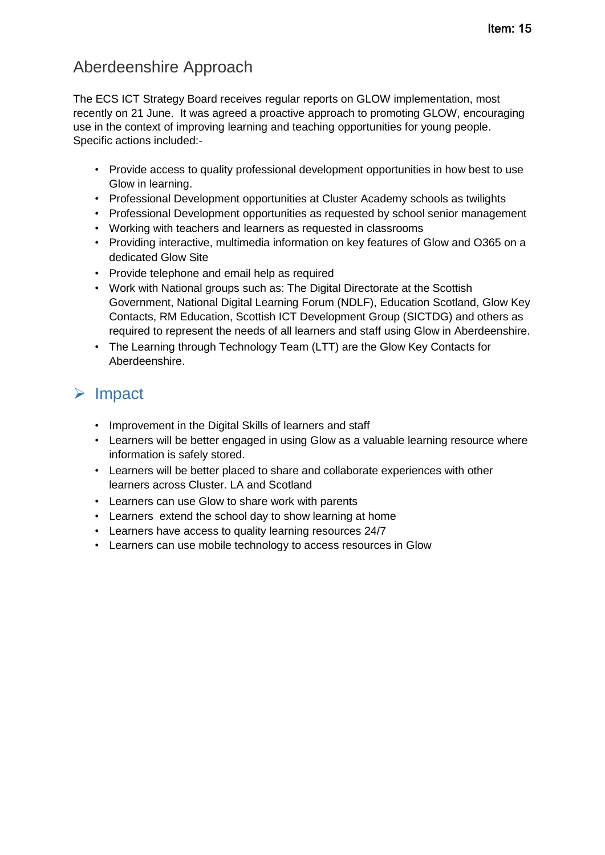# Aberdeenshire Approach

The ECS ICT Strategy Board receives regular reports on GLOW implementation, most recently on 21 June. It was agreed a proactive approach to promoting GLOW, encouraging use in the context of improving learning and teaching opportunities for young people. Specific actions included:-

- Provide access to quality professional development opportunities in how best to use Glow in learning.
- Professional Development opportunities at Cluster Academy schools as twilights
- Professional Development opportunities as requested by school senior management
- Working with teachers and learners as requested in classrooms
- Providing interactive, multimedia information on key features of Glow and O365 on a dedicated Glow Site
- Provide telephone and email help as required
- Work with National groups such as: The Digital Directorate at the Scottish Government, National Digital Learning Forum (NDLF), Education Scotland, Glow Key Contacts, RM Education, Scottish ICT Development Group (SICTDG) and others as required to represent the needs of all learners and staff using Glow in Aberdeenshire.
- The Learning through Technology Team (LTT) are the Glow Key Contacts for Aberdeenshire.

# $\triangleright$  Impact

- Improvement in the Digital Skills of learners and staff
- Learners will be better engaged in using Glow as a valuable learning resource where information is safely stored.
- Learners will be better placed to share and collaborate experiences with other learners across Cluster. LA and Scotland
- Learners can use Glow to share work with parents
- Learners extend the school day to show learning at home
- Learners have access to quality learning resources 24/7
- Learners can use mobile technology to access resources in Glow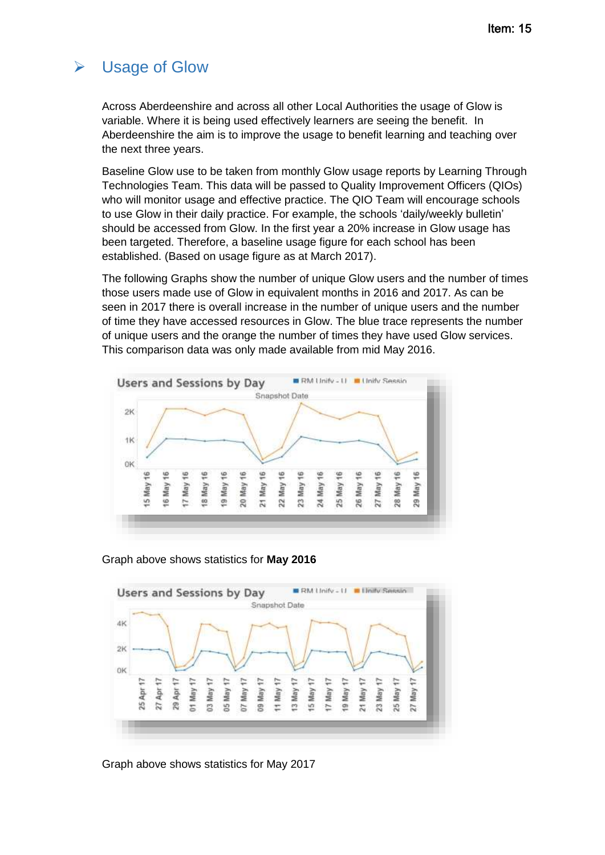# Usage of Glow

Across Aberdeenshire and across all other Local Authorities the usage of Glow is variable. Where it is being used effectively learners are seeing the benefit. In Aberdeenshire the aim is to improve the usage to benefit learning and teaching over the next three years.

Baseline Glow use to be taken from monthly Glow usage reports by Learning Through Technologies Team. This data will be passed to Quality Improvement Officers (QIOs) who will monitor usage and effective practice. The QIO Team will encourage schools to use Glow in their daily practice. For example, the schools 'daily/weekly bulletin' should be accessed from Glow. In the first year a 20% increase in Glow usage has been targeted. Therefore, a baseline usage figure for each school has been established. (Based on usage figure as at March 2017).

The following Graphs show the number of unique Glow users and the number of times those users made use of Glow in equivalent months in 2016 and 2017. As can be seen in 2017 there is overall increase in the number of unique users and the number of time they have accessed resources in Glow. The blue trace represents the number of unique users and the orange the number of times they have used Glow services. This comparison data was only made available from mid May 2016.







Graph above shows statistics for May 2017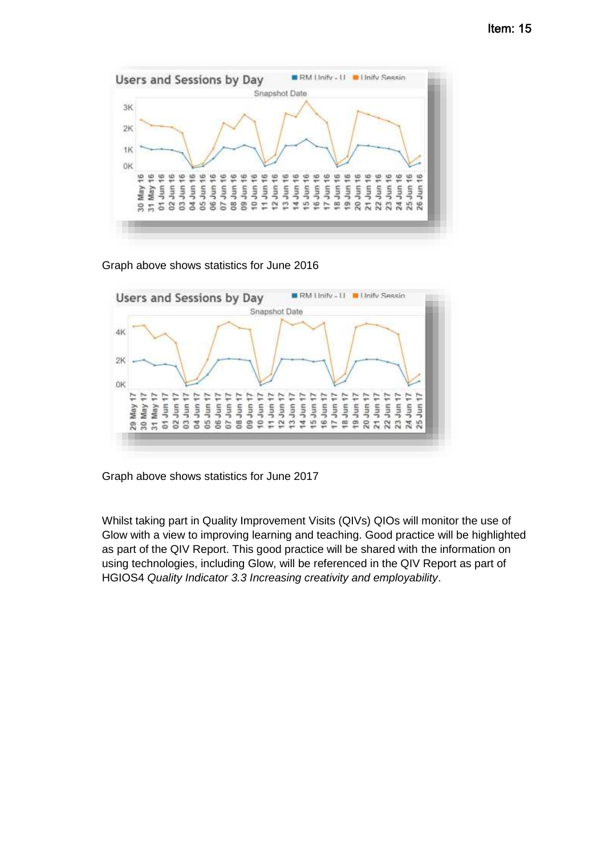

Graph above shows statistics for June 2016



Graph above shows statistics for June 2017

Whilst taking part in Quality Improvement Visits (QIVs) QIOs will monitor the use of Glow with a view to improving learning and teaching. Good practice will be highlighted as part of the QIV Report. This good practice will be shared with the information on using technologies, including Glow, will be referenced in the QIV Report as part of HGIOS4 *Quality Indicator 3.3 Increasing creativity and employability*.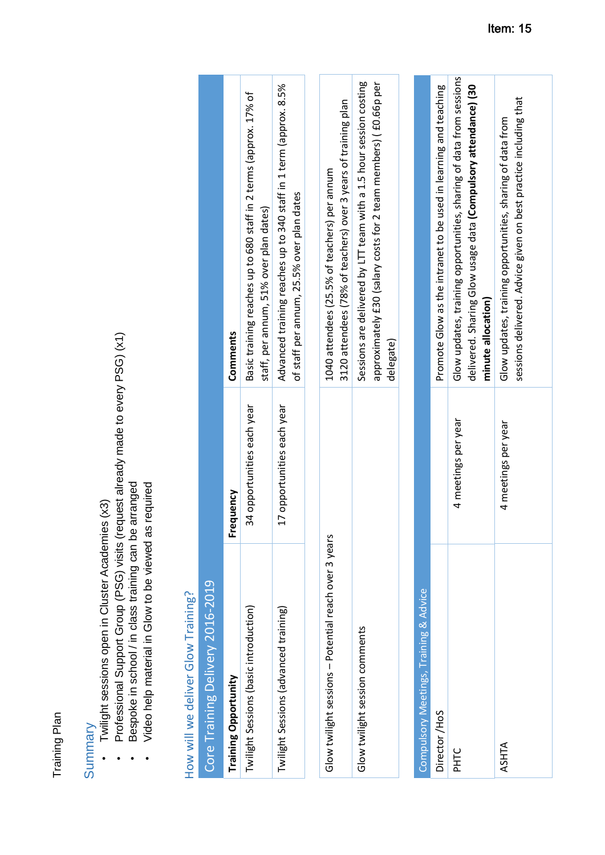Training Plan Training Plan

- Twilight sessions open in Cluster Academies (x3) Summary<br>• Twilight sessions open in Cluster Academies (x3)  $\ddot{\phantom{0}}$
- Professional Support Group (PSG) visits (request already made to every PSG) (x1) Professional Support Group (PSG) visits (request already made to every PSG) (x1)
	- Bespoke in school / in class training can be arranged • Bespoke in school / in class training can be arranged
		- Video help material in Glow to be viewed as required Video help material in Glow to be viewed as required  $\bullet$

# How will we deliver Glow Training? How will we deliver Glow Training?

| Core Training Delivery 2016-2019       |                            |                                                                                                                 |
|----------------------------------------|----------------------------|-----------------------------------------------------------------------------------------------------------------|
| <b>Training Opportunity</b>            | Frequency                  | Comments                                                                                                        |
| Twilight Sessions (basic introduction) | 34 opportunities each year | Basic training reaches up to 680 staff in 2 terms (approx. 17% of<br>staff, per annum, 51% over plan dates)     |
| Twilight Sessions (advanced training)  | 17 opportunities each year | Advanced training reaches up to 340 staff in 1 term (approx. 8.5%<br>of staff per annum, 25.5% over plan dates  |
|                                        |                            |                                                                                                                 |
|                                        |                            | count of the lot of the decoder of the second control of the second of the second of the second second to the s |

| Glow twilight sessions - Potential reach over 3 years | 1040 attendees (25.5% of teachers) per annum                       |
|-------------------------------------------------------|--------------------------------------------------------------------|
|                                                       | 3120 attendees (78% of teachers) over 3 years of training plan     |
| Glow twilight session comments                        | Sessions are delivered by LTT team with a 1.5 hour session costing |
|                                                       | approximately £30 (salary costs for 2 team members) (£0.66p per    |
|                                                       | delegate)                                                          |

| Compulsory Meetings, Training & Advice |                     |                                                                                                                                                             |
|----------------------------------------|---------------------|-------------------------------------------------------------------------------------------------------------------------------------------------------------|
| Director/HoS                           |                     | Promote Glow as the intranet to be used in learning and teaching                                                                                            |
| PHTC                                   | 4 meetings per year | Glow updates, training opportunities, sharing of data from sessions<br>delivered. Sharing Glow usage data (Compulsory attendance) (30<br>minute allocation) |
| ASHTA                                  | 4 meetings per year | sessions delivered. Advice given on best practice including that<br>Glow updates, training opportunities, sharing of data from                              |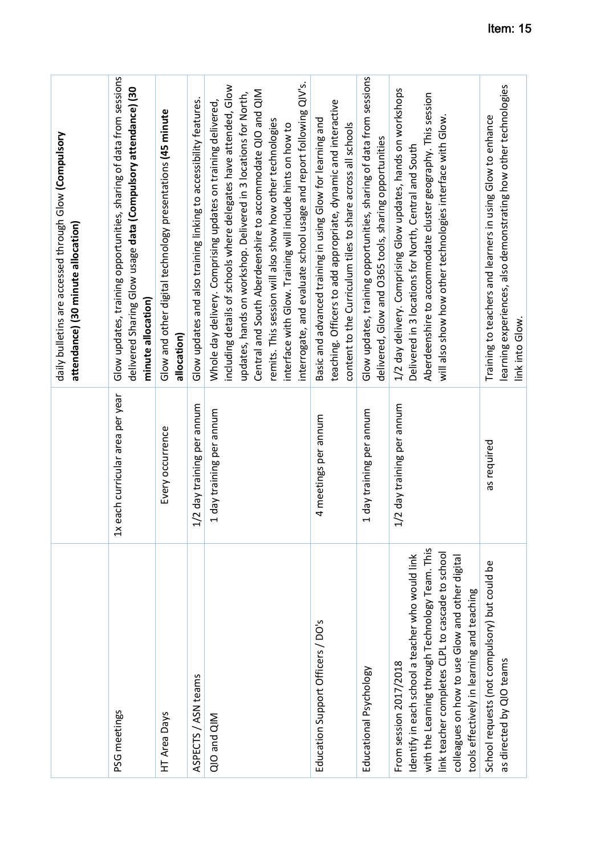|                                                                                                                                                                                                                                                                                    |                                  | daily bulletins are accessed through Glow (Compulsory<br>attendance) (30 minute allocation)                                                                                                                                                                                                                                                                                                                                                                          |
|------------------------------------------------------------------------------------------------------------------------------------------------------------------------------------------------------------------------------------------------------------------------------------|----------------------------------|----------------------------------------------------------------------------------------------------------------------------------------------------------------------------------------------------------------------------------------------------------------------------------------------------------------------------------------------------------------------------------------------------------------------------------------------------------------------|
| PSG meetings                                                                                                                                                                                                                                                                       | 1x each curricular area per year | Glow updates, training opportunities, sharing of data from sessions<br>delivered Sharing Glow usage data (Compulsory attendance) (30<br>minute allocation)                                                                                                                                                                                                                                                                                                           |
| HT Area Days                                                                                                                                                                                                                                                                       | Every occurrence                 | Glow and other digital technology presentations (45 minute<br>allocation)                                                                                                                                                                                                                                                                                                                                                                                            |
| ASPECTS / ASN teams                                                                                                                                                                                                                                                                | 1/2 day training per annum       | Glow updates and also training linking to accessibility features.                                                                                                                                                                                                                                                                                                                                                                                                    |
| QIO and QIM                                                                                                                                                                                                                                                                        | 1 day training per annum         | interrogate, and evaluate school usage and report following QIV's.<br>including details of schools where delegates have attended, Glow<br>Central and South Aberdeenshire to accommodate QIO and QIM<br>updates, hands on workshop. Delivered in 3 locations for North,<br>Whole day delivery. Comprising updates on training delivered,<br>remits. This session will also show how other technologies<br>interface with Glow. Training will include hints on how to |
| Education Support Officers / DO's                                                                                                                                                                                                                                                  | 4 meetings per annum             | teaching. Officers to add appropriate, dynamic and interactive<br>Basic and advanced training in using Glow for learning and<br>content to the Curriculum tiles to share across all schools                                                                                                                                                                                                                                                                          |
| Educational Psychology                                                                                                                                                                                                                                                             | 1 day training per annum         | Glow updates, training opportunities, sharing of data from sessions<br>delivered, Glow and O365 tools, sharing opportunities                                                                                                                                                                                                                                                                                                                                         |
| with the Learning through Technology Team. This<br>link teacher completes CLPL to cascade to school<br>Identify in each school a teacher who would link<br>colleagues on how to use Glow and other digital<br>tools effectively in learning and teaching<br>From session 2017/2018 | 1/2 day training per annum       | 1/2 day delivery. Comprising Glow updates, hands on workshops<br>Aberdeenshire to accommodate cluster geography. This session<br>will also show how other technologies interface with Glow.<br>Delivered in 3 locations for North, Central and South                                                                                                                                                                                                                 |
| School requests (not compulsory) but could be<br>as directed by QIO teams                                                                                                                                                                                                          | as required                      | learning experiences, also demonstrating how other technologies<br>Training to teachers and learners in using Glow to enhance<br>link into Glow.                                                                                                                                                                                                                                                                                                                     |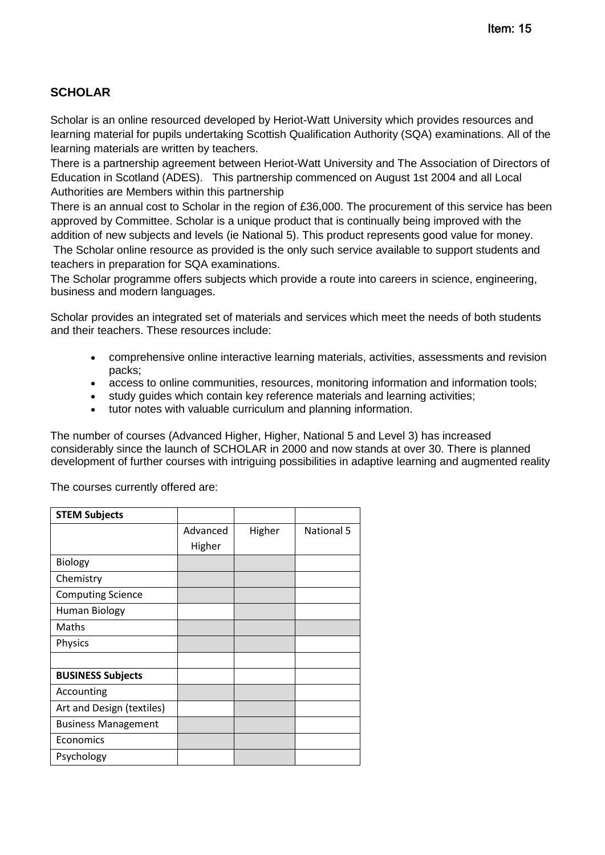## **SCHOLAR**

Scholar is an online resourced developed by Heriot-Watt University which provides resources and learning material for pupils undertaking Scottish Qualification Authority (SQA) examinations. All of the learning materials are written by teachers.

There is a partnership agreement between Heriot-Watt University and The Association of Directors of Education in Scotland (ADES). This partnership commenced on August 1st 2004 and all Local Authorities are Members within this partnership

There is an annual cost to Scholar in the region of £36,000. The procurement of this service has been approved by Committee. Scholar is a unique product that is continually being improved with the addition of new subjects and levels (ie National 5). This product represents good value for money. The Scholar online resource as provided is the only such service available to support students and teachers in preparation for SQA examinations.

The Scholar programme offers subjects which provide a route into careers in science, engineering, business and modern languages.

Scholar provides an integrated set of materials and services which meet the needs of both students and their teachers. These resources include:

- comprehensive online interactive learning materials, activities, assessments and revision packs;
- access to online communities, resources, monitoring information and information tools;
- study guides which contain key reference materials and learning activities;
- tutor notes with valuable curriculum and planning information.

The number of courses (Advanced Higher, Higher, National 5 and Level 3) has increased considerably since the launch of SCHOLAR in 2000 and now stands at over 30. There is planned development of further courses with intriguing possibilities in adaptive learning and augmented reality

The courses currently offered are:

| <b>STEM Subjects</b>       |          |        |            |
|----------------------------|----------|--------|------------|
|                            | Advanced | Higher | National 5 |
|                            | Higher   |        |            |
| Biology                    |          |        |            |
| Chemistry                  |          |        |            |
| <b>Computing Science</b>   |          |        |            |
| Human Biology              |          |        |            |
| Maths                      |          |        |            |
| Physics                    |          |        |            |
|                            |          |        |            |
| <b>BUSINESS Subjects</b>   |          |        |            |
| Accounting                 |          |        |            |
| Art and Design (textiles)  |          |        |            |
| <b>Business Management</b> |          |        |            |
| Economics                  |          |        |            |
| Psychology                 |          |        |            |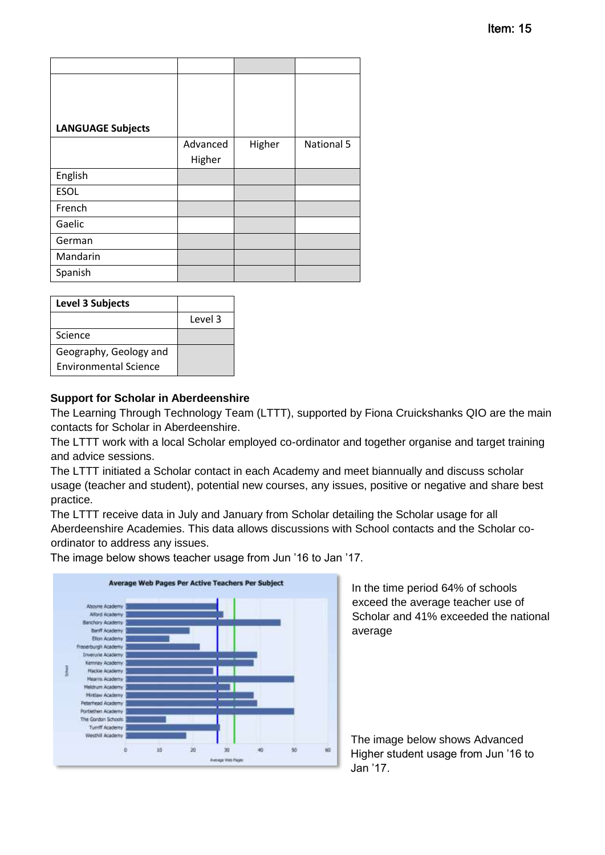| <b>LANGUAGE Subjects</b> |          |        |            |
|--------------------------|----------|--------|------------|
|                          | Advanced | Higher | National 5 |
|                          | Higher   |        |            |
| English                  |          |        |            |
| <b>ESOL</b>              |          |        |            |
| French                   |          |        |            |
| Gaelic                   |          |        |            |
| German                   |          |        |            |
| Mandarin                 |          |        |            |
| Spanish                  |          |        |            |

| <b>Level 3 Subjects</b>      |         |
|------------------------------|---------|
|                              | Level 3 |
| Science                      |         |
| Geography, Geology and       |         |
| <b>Environmental Science</b> |         |

### **Support for Scholar in Aberdeenshire**

Portlethen Academy The Gordon Schools Tumff Academy Westhit Academy

ø

10

The Learning Through Technology Team (LTTT), supported by Fiona Cruickshanks QIO are the main contacts for Scholar in Aberdeenshire.

The LTTT work with a local Scholar employed co-ordinator and together organise and target training and advice sessions.

The LTTT initiated a Scholar contact in each Academy and meet biannually and discuss scholar usage (teacher and student), potential new courses, any issues, positive or negative and share best practice.

The LTTT receive data in July and January from Scholar detailing the Scholar usage for all Aberdeenshire Academies. This data allows discussions with School contacts and the Scholar coordinator to address any issues.

 $60\,$ 

50

 $\omega$ 

Average Web Pages Per Active Teachers Per Subject Aboyne Academy Alford Academy **Banchory Academy** Barth Academy Elion Academy rburgh Academy **Inverurie Academy** Kemnay Academy **Hackie Academy Mearrs Academy Meldrum Academy** Mintaw Academy Peterhead Academy

20

30

**Avenue Web Your** 

The image below shows teacher usage from Jun '16 to Jan '17.

In the time period 64% of schools exceed the average teacher use of Scholar and 41% exceeded the national average

The image below shows Advanced Higher student usage from Jun '16 to Jan '17.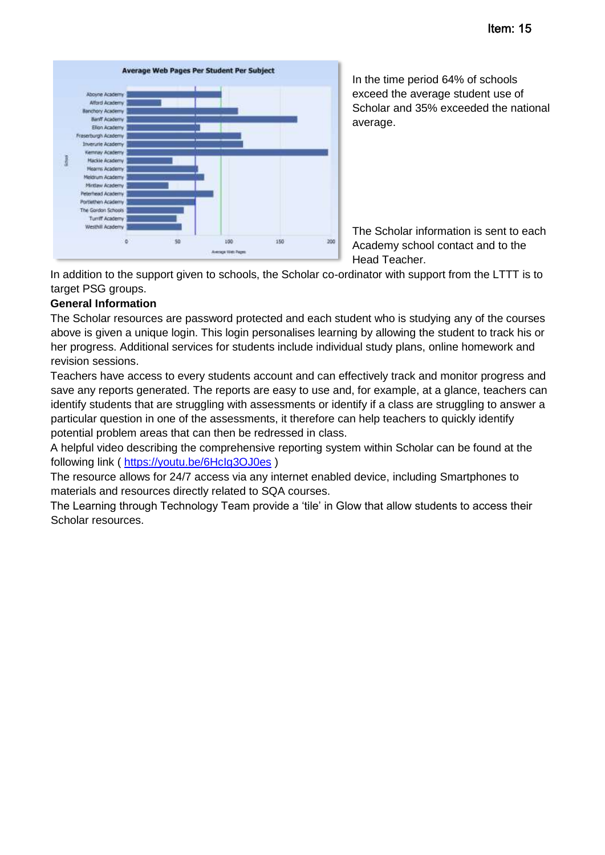

In the time period 64% of schools exceed the average student use of Scholar and 35% exceeded the national average.

The Scholar information is sent to each Academy school contact and to the Head Teacher.

In addition to the support given to schools, the Scholar co-ordinator with support from the LTTT is to target PSG groups.

### **General Information**

The Scholar resources are password protected and each student who is studying any of the courses above is given a unique login. This login personalises learning by allowing the student to track his or her progress. Additional services for students include individual study plans, online homework and revision sessions.

Teachers have access to every students account and can effectively track and monitor progress and save any reports generated. The reports are easy to use and, for example, at a glance, teachers can identify students that are struggling with assessments or identify if a class are struggling to answer a particular question in one of the assessments, it therefore can help teachers to quickly identify potential problem areas that can then be redressed in class.

A helpful video describing the comprehensive reporting system within Scholar can be found at the following link (<https://youtu.be/6HcIg3OJ0es> )

The resource allows for 24/7 access via any internet enabled device, including Smartphones to materials and resources directly related to SQA courses.

The Learning through Technology Team provide a 'tile' in Glow that allow students to access their Scholar resources.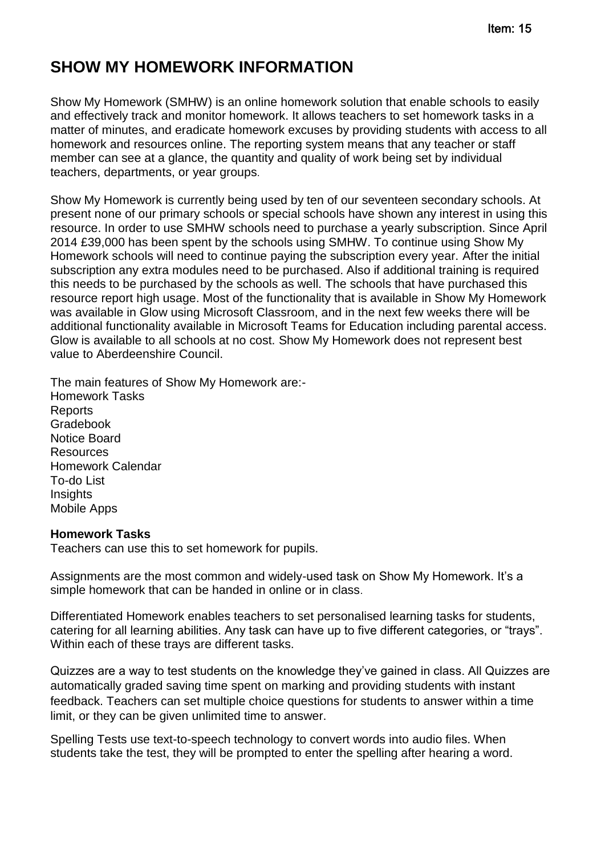# **SHOW MY HOMEWORK INFORMATION**

Show My Homework (SMHW) is an online homework solution that enable schools to easily and effectively track and monitor homework. It allows teachers to set homework tasks in a matter of minutes, and eradicate homework excuses by providing students with access to all homework and resources online. The reporting system means that any teacher or staff member can see at a glance, the quantity and quality of work being set by individual teachers, departments, or year groups.

Show My Homework is currently being used by ten of our seventeen secondary schools. At present none of our primary schools or special schools have shown any interest in using this resource. In order to use SMHW schools need to purchase a yearly subscription. Since April 2014 £39,000 has been spent by the schools using SMHW. To continue using Show My Homework schools will need to continue paying the subscription every year. After the initial subscription any extra modules need to be purchased. Also if additional training is required this needs to be purchased by the schools as well. The schools that have purchased this resource report high usage. Most of the functionality that is available in Show My Homework was available in Glow using Microsoft Classroom, and in the next few weeks there will be additional functionality available in Microsoft Teams for Education including parental access. Glow is available to all schools at no cost. Show My Homework does not represent best value to Aberdeenshire Council.

The main features of Show My Homework are:- Homework Tasks **Reports** Gradebook Notice Board **Resources** Homework Calendar To-do List **Insights** Mobile Apps

### **Homework Tasks**

Teachers can use this to set homework for pupils.

Assignments are the most common and widely-used task on Show My Homework. It's a simple homework that can be handed in online or in class.

Differentiated Homework enables teachers to set personalised learning tasks for students, catering for all learning abilities. Any task can have up to five different categories, or "trays". Within each of these trays are different tasks.

Quizzes are a way to test students on the knowledge they've gained in class. All Quizzes are automatically graded saving time spent on marking and providing students with instant feedback. Teachers can set multiple choice questions for students to answer within a time limit, or they can be given unlimited time to answer.

Spelling Tests use text-to-speech technology to convert words into audio files. When students take the test, they will be prompted to enter the spelling after hearing a word.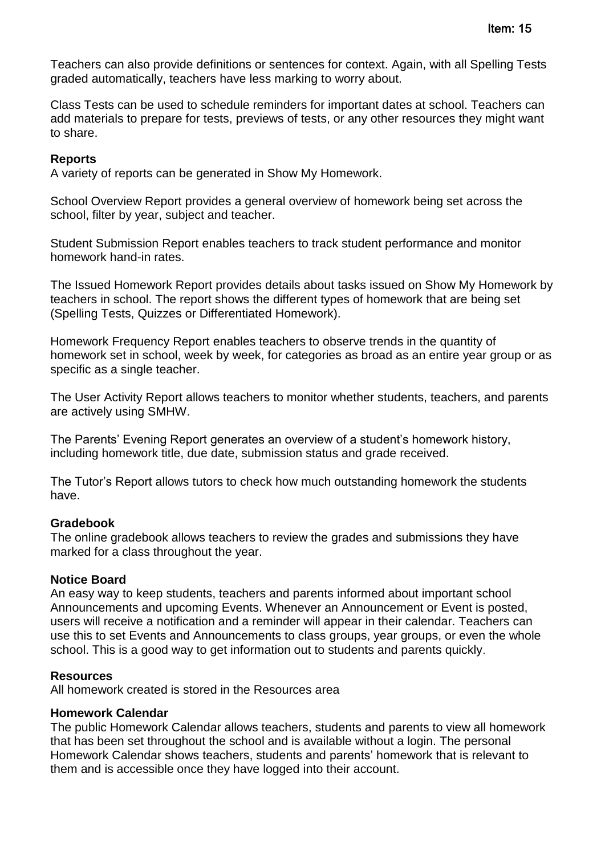Teachers can also provide definitions or sentences for context. Again, with all Spelling Tests graded automatically, teachers have less marking to worry about.

Class Tests can be used to schedule reminders for important dates at school. Teachers can add materials to prepare for tests, previews of tests, or any other resources they might want to share.

### **Reports**

A variety of reports can be generated in Show My Homework.

School Overview Report provides a general overview of homework being set across the school, filter by year, subject and teacher.

Student Submission Report enables teachers to track student performance and monitor homework hand-in rates.

The Issued Homework Report provides details about tasks issued on Show My Homework by teachers in school. The report shows the different types of homework that are being set (Spelling Tests, Quizzes or Differentiated Homework).

Homework Frequency Report enables teachers to observe trends in the quantity of homework set in school, week by week, for categories as broad as an entire year group or as specific as a single teacher.

The User Activity Report allows teachers to monitor whether students, teachers, and parents are actively using SMHW.

The Parents' Evening Report generates an overview of a student's homework history, including homework title, due date, submission status and grade received.

The Tutor's Report allows tutors to check how much outstanding homework the students have.

### **Gradebook**

The online gradebook allows teachers to review the grades and submissions they have marked for a class throughout the year.

### **Notice Board**

An easy way to keep students, teachers and parents informed about important school Announcements and upcoming Events. Whenever an Announcement or Event is posted, users will receive a notification and a reminder will appear in their calendar. Teachers can use this to set Events and Announcements to class groups, year groups, or even the whole school. This is a good way to get information out to students and parents quickly.

### **Resources**

All homework created is stored in the Resources area

### **Homework Calendar**

The public Homework Calendar allows teachers, students and parents to view all homework that has been set throughout the school and is available without a login. The personal Homework Calendar shows teachers, students and parents' homework that is relevant to them and is accessible once they have logged into their account.